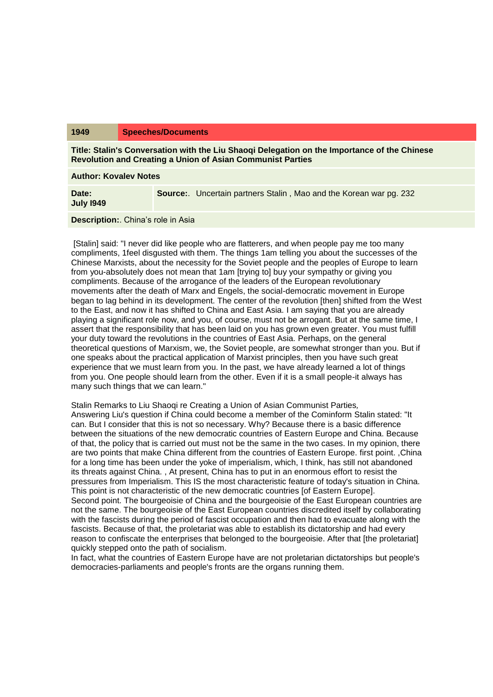## **1949 Speeches/Documents**

**Title: Stalin's Conversation with the Liu Shaoqi Delegation on the Importance of the Chinese Revolution and Creating a Union of Asian Communist Parties**

**Author: Kovalev Notes**

**Date: July I949 Source:**. Uncertain partners Stalin , Mao and the Korean war pg. 232

## **Description:**. China's role in Asia

[Stalin] said: "I never did like people who are flatterers, and when people pay me too many compliments, 1feel disgusted with them. The things 1am telling you about the successes of the Chinese Marxists, about the necessity for the Soviet people and the peoples of Europe to learn from you-absolutely does not mean that 1am [trying to] buy your sympathy or giving you compliments. Because of the arrogance of the leaders of the European revolutionary movements after the death of Marx and Engels, the social-democratic movement in Europe began to lag behind in its development. The center of the revolution [then] shifted from the West to the East, and now it has shifted to China and East Asia. I am saying that you are already playing a significant role now, and you, of course, must not be arrogant. But at the same time, I assert that the responsibility that has been laid on you has grown even greater. You must fulfill your duty toward the revolutions in the countries of East Asia. Perhaps, on the general theoretical questions of Marxism, we, the Soviet people, are somewhat stronger than you. But if one speaks about the practical application of Marxist principles, then you have such great experience that we must learn from you. In the past, we have already learned a lot of things from you. One people should learn from the other. Even if it is a small people-it always has many such things that we can learn."

Stalin Remarks to Liu Shaoqi re Creating a Union of Asian Communist Parties*,* Answering Liu's question if China could become a member of the Cominform Stalin stated: "It can. But I consider that this is not so necessary. Why? Because there is a basic difference between the situations of the new democratic countries of Eastern Europe and China. Because of that, the policy that is carried out must not be the same in the two cases. In my opinion, there are two points that make China different from the countries of Eastern Europe. first point. ,China for a long time has been under the yoke of imperialism, which, I think, has still not abandoned its threats against China. , At present, China has to put in an enormous effort to resist the pressures from Imperialism. This IS the most characteristic feature of today's situation in China. This point is not characteristic of the new democratic countries [of Eastern Europe]. Second point. The bourgeoisie of China and the bourgeoisie of the East European countries are not the same. The bourgeoisie of the East European countries discredited itself by collaborating with the fascists during the period of fascist occupation and then had to evacuate along with the fascists. Because of that, the proletariat was able to establish its dictatorship and had every reason to confiscate the enterprises that belonged to the bourgeoisie. After that [the proletariat] quickly stepped onto the path of socialism.

In fact, what the countries of Eastern Europe have are not proletarian dictatorships but people's democracies-parliaments and people's fronts are the organs running them.